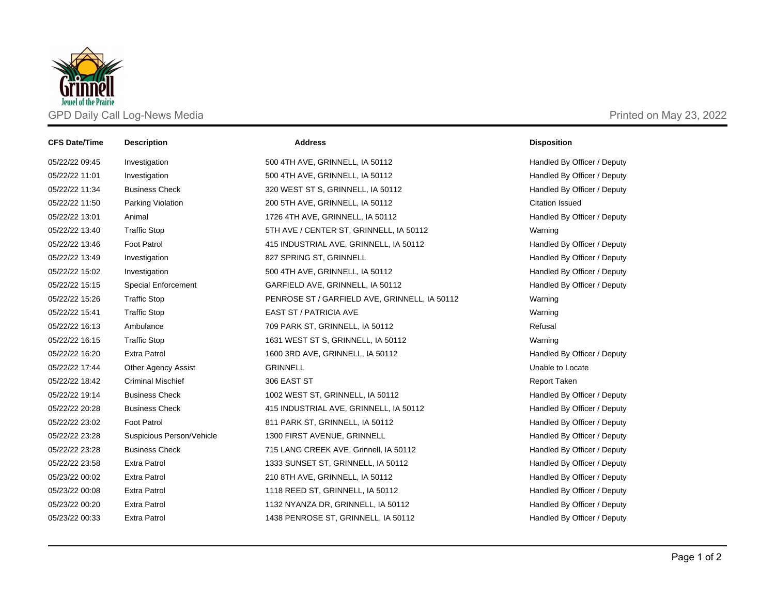

| <b>CFS Date/Time</b> | <b>Description</b>         | <b>Address</b>                                | <b>Disposition</b>          |
|----------------------|----------------------------|-----------------------------------------------|-----------------------------|
| 05/22/22 09:45       | Investigation              | 500 4TH AVE, GRINNELL, IA 50112               | Handled By Officer / Deputy |
| 05/22/22 11:01       | Investigation              | 500 4TH AVE, GRINNELL, IA 50112               | Handled By Officer / Deputy |
| 05/22/22 11:34       | <b>Business Check</b>      | 320 WEST ST S, GRINNELL, IA 50112             | Handled By Officer / Deputy |
| 05/22/22 11:50       | Parking Violation          | 200 5TH AVE, GRINNELL, IA 50112               | <b>Citation Issued</b>      |
| 05/22/22 13:01       | Animal                     | 1726 4TH AVE, GRINNELL, IA 50112              | Handled By Officer / Deputy |
| 05/22/22 13:40       | <b>Traffic Stop</b>        | 5TH AVE / CENTER ST, GRINNELL, IA 50112       | Warning                     |
| 05/22/22 13:46       | <b>Foot Patrol</b>         | 415 INDUSTRIAL AVE, GRINNELL, IA 50112        | Handled By Officer / Deputy |
| 05/22/22 13:49       | Investigation              | 827 SPRING ST, GRINNELL                       | Handled By Officer / Deputy |
| 05/22/22 15:02       | Investigation              | 500 4TH AVE, GRINNELL, IA 50112               | Handled By Officer / Deputy |
| 05/22/22 15:15       | Special Enforcement        | GARFIELD AVE, GRINNELL, IA 50112              | Handled By Officer / Deputy |
| 05/22/22 15:26       | <b>Traffic Stop</b>        | PENROSE ST / GARFIELD AVE, GRINNELL, IA 50112 | Warning                     |
| 05/22/22 15:41       | <b>Traffic Stop</b>        | <b>EAST ST / PATRICIA AVE</b>                 | Warning                     |
| 05/22/22 16:13       | Ambulance                  | 709 PARK ST, GRINNELL, IA 50112               | Refusal                     |
| 05/22/22 16:15       | <b>Traffic Stop</b>        | 1631 WEST ST S, GRINNELL, IA 50112            | Warning                     |
| 05/22/22 16:20       | <b>Extra Patrol</b>        | 1600 3RD AVE, GRINNELL, IA 50112              | Handled By Officer / Deputy |
| 05/22/22 17:44       | <b>Other Agency Assist</b> | <b>GRINNELL</b>                               | Unable to Locate            |
| 05/22/22 18:42       | <b>Criminal Mischief</b>   | 306 EAST ST                                   | <b>Report Taken</b>         |
| 05/22/22 19:14       | <b>Business Check</b>      | 1002 WEST ST, GRINNELL, IA 50112              | Handled By Officer / Deputy |
| 05/22/22 20:28       | <b>Business Check</b>      | 415 INDUSTRIAL AVE, GRINNELL, IA 50112        | Handled By Officer / Deputy |
| 05/22/22 23:02       | Foot Patrol                | 811 PARK ST, GRINNELL, IA 50112               | Handled By Officer / Deputy |
| 05/22/22 23:28       | Suspicious Person/Vehicle  | 1300 FIRST AVENUE, GRINNELL                   | Handled By Officer / Deputy |
| 05/22/22 23:28       | <b>Business Check</b>      | 715 LANG CREEK AVE, Grinnell, IA 50112        | Handled By Officer / Deputy |
| 05/22/22 23:58       | <b>Extra Patrol</b>        | 1333 SUNSET ST, GRINNELL, IA 50112            | Handled By Officer / Deputy |
| 05/23/22 00:02       | <b>Extra Patrol</b>        | 210 8TH AVE, GRINNELL, IA 50112               | Handled By Officer / Deputy |
| 05/23/22 00:08       | <b>Extra Patrol</b>        | 1118 REED ST, GRINNELL, IA 50112              | Handled By Officer / Deputy |
| 05/23/22 00:20       | <b>Extra Patrol</b>        | 1132 NYANZA DR, GRINNELL, IA 50112            | Handled By Officer / Deputy |
| 05/23/22 00:33       | <b>Extra Patrol</b>        | 1438 PENROSE ST, GRINNELL, IA 50112           | Handled By Officer / Deputy |
|                      |                            |                                               |                             |